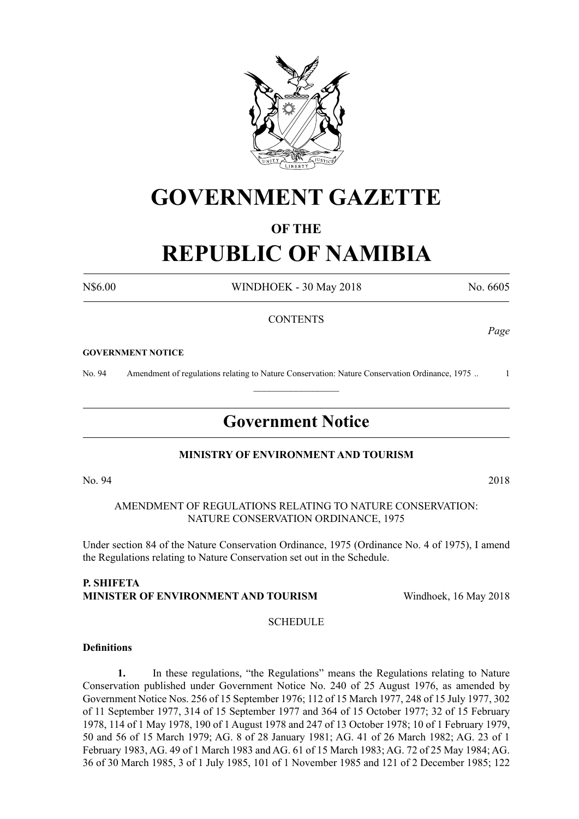

## **GOVERNMENT GAZETTE**

#### **OF THE**

# **REPUBLIC OF NAMIBIA**

N\$6.00 WINDHOEK - 30 May 2018 No. 6605

#### **CONTENTS**

#### **GOVERNMENT NOTICE**

No. 94 Amendment of regulations relating to Nature Conservation: Nature Conservation Ordinance, 1975 .. 1

### **Government Notice**

 $\frac{1}{2}$ 

#### **MINISTRY OF ENVIRONMENT AND TOURISM**

AMENDMENT OF REGULATIONS RELATING TO NATURE CONSERVATION: NATURE CONSERVATION ORDINANCE, 1975

Under section 84 of the Nature Conservation Ordinance, 1975 (Ordinance No. 4 of 1975), I amend the Regulations relating to Nature Conservation set out in the Schedule.

#### **P. SHIFETA MINISTER OF ENVIRONMENT AND TOURISM** Windhoek, 16 May 2018

**SCHEDULE** 

#### **Definitions**

**1.** In these regulations, "the Regulations" means the Regulations relating to Nature Conservation published under Government Notice No. 240 of 25 August 1976, as amended by Government Notice Nos. 256 of 15 September 1976; 112 of 15 March 1977, 248 of 15 July 1977, 302 of 11 September 1977, 314 of 15 September 1977 and 364 of 15 October 1977; 32 of 15 February 1978, 114 of 1 May 1978, 190 of 1 August 1978 and 247 of 13 October 1978; 10 of 1 February 1979, 50 and 56 of 15 March 1979; AG. 8 of 28 January 1981; AG. 41 of 26 March 1982; AG. 23 of 1 February 1983, AG. 49 of 1 March 1983 and AG. 61 of 15 March 1983; AG. 72 of 25 May 1984; AG. 36 of 30 March 1985, 3 of 1 July 1985, 101 of 1 November 1985 and 121 of 2 December 1985; 122

No. 94 2018

*Page*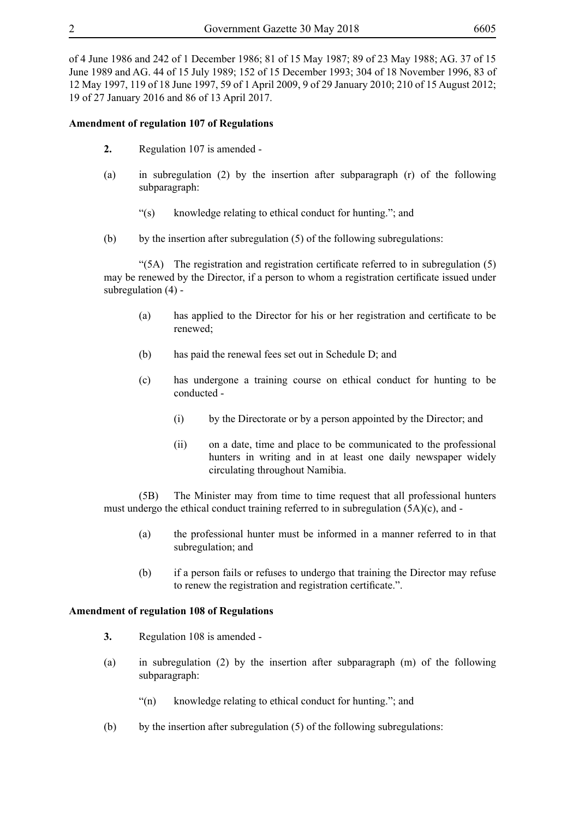of 4 June 1986 and 242 of 1 December 1986; 81 of 15 May 1987; 89 of 23 May 1988; AG. 37 of 15 June 1989 and AG. 44 of 15 July 1989; 152 of 15 December 1993; 304 of 18 November 1996, 83 of 12 May 1997, 119 of 18 June 1997, 59 of 1 April 2009, 9 of 29 January 2010; 210 of 15 August 2012; 19 of 27 January 2016 and 86 of 13 April 2017.

#### **Amendment of regulation 107 of Regulations**

- **2.** Regulation 107 is amended -
- (a) in subregulation (2) by the insertion after subparagraph (r) of the following subparagraph:
	- "(s) knowledge relating to ethical conduct for hunting."; and
- (b) by the insertion after subregulation (5) of the following subregulations:

 "(5A) The registration and registration certificate referred to in subregulation (5) may be renewed by the Director, if a person to whom a registration certificate issued under subregulation (4) -

- (a) has applied to the Director for his or her registration and certificate to be renewed;
- (b) has paid the renewal fees set out in Schedule D; and
- (c) has undergone a training course on ethical conduct for hunting to be conducted -
	- (i) by the Directorate or by a person appointed by the Director; and
	- (ii) on a date, time and place to be communicated to the professional hunters in writing and in at least one daily newspaper widely circulating throughout Namibia.

(5B) The Minister may from time to time request that all professional hunters must undergo the ethical conduct training referred to in subregulation (5A)(c), and -

- (a) the professional hunter must be informed in a manner referred to in that subregulation; and
- (b) if a person fails or refuses to undergo that training the Director may refuse to renew the registration and registration certificate.".

#### **Amendment of regulation 108 of Regulations**

- **3.** Regulation 108 is amended -
- (a) in subregulation (2) by the insertion after subparagraph (m) of the following subparagraph:
	- "(n) knowledge relating to ethical conduct for hunting."; and
- (b) by the insertion after subregulation  $(5)$  of the following subregulations: